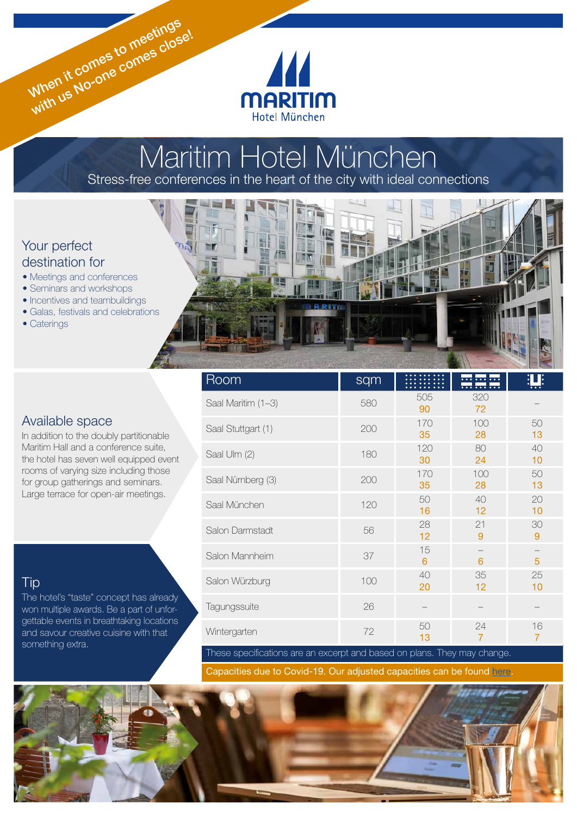

# Maritim Hotel München Stress-free conferences in the heart of the city with ideal connections

ĦR

# Your perfect destination for

- Meetings and conferences
- Seminars and workshops
- Incentives and teambuildings
- Galas, festivals and celebrations

When it comes to meetings When it comes to meetinge!

• Caterings

# Available space

In addition to the doubly partitionable Maritim Hall and a conference suite, the hotel has seven well equipped event rooms of varying size including those for group gatherings and seminars. Large terrace for open-air meetings.

# **Tip**

The hotel's "taste" concept has already won multiple awards. Be a part of unforgettable events in breathtaking locations and savour creative cuisine with that something extra.

| <b>Room</b>        | sqm |           | <u> </u><br><u> </u> |                      |
|--------------------|-----|-----------|----------------------|----------------------|
| Saal Maritim (1-3) | 580 | 505<br>90 | 320<br>72            |                      |
| Saal Stuttgart (1) | 200 | 170<br>35 | 100<br>28            | 50<br>13             |
| Saal Ulm (2)       | 180 | 120<br>30 | 80<br>24             | 40<br>10             |
| Saal Nürnberg (3)  | 200 | 170<br>35 | 100<br>28            | 50<br>13             |
| Saal München       | 120 | 50<br>16  | 40<br>12             | 20<br>10             |
| Salon Darmstadt    | 56  | 28<br>12  | 21<br>9              | 30<br>9              |
| Salon Mannheim     | 37  | 15<br>6   | 6                    | 5                    |
| Salon Würzburg     | 100 | 40<br>20  | 35<br>12             | 25<br>10             |
| Tagungssuite       | 26  |           |                      |                      |
| Wintergarten       | 72  | 50<br>13  | 24<br>$\overline{7}$ | 16<br>$\overline{7}$ |

These specifications are an excerpt and based on plans. They may change.

Capacities due to Covid-19. Our adjusted capacities can be found [here](https://www.maritim.de/fileadmin/user_upload/Allgemein/Prospekte/Tagungsplaner.pdf).